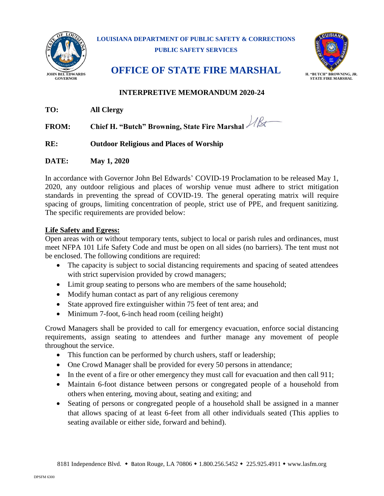

**LOUISIANA DEPARTMENT OF PUBLIC SAFETY & CORRECTIONS PUBLIC SAFETY SERVICES**



# JOHN BEL EDWARDS **OFFICE OF STATE FIRE MARSHAL**

#### **INTERPRETIVE MEMORANDUM 2020-24**

**TO: All Clergy**

**FROM: Chief H. "Butch" Browning, State Fire Marshal**

**RE: Outdoor Religious and Places of Worship**

**DATE: May 1, 2020**

In accordance with Governor John Bel Edwards' COVID-19 Proclamation to be released May 1, 2020, any outdoor religious and places of worship venue must adhere to strict mitigation standards in preventing the spread of COVID-19. The general operating matrix will require spacing of groups, limiting concentration of people, strict use of PPE, and frequent sanitizing. The specific requirements are provided below:

#### **Life Safety and Egress:**

Open areas with or without temporary tents, subject to local or parish rules and ordinances, must meet NFPA 101 Life Safety Code and must be open on all sides (no barriers). The tent must not be enclosed. The following conditions are required:

- The capacity is subject to social distancing requirements and spacing of seated attendees with strict supervision provided by crowd managers;
- Limit group seating to persons who are members of the same household;
- Modify human contact as part of any religious ceremony
- State approved fire extinguisher within 75 feet of tent area; and
- Minimum 7-foot, 6-inch head room (ceiling height)

Crowd Managers shall be provided to call for emergency evacuation, enforce social distancing requirements, assign seating to attendees and further manage any movement of people throughout the service.

- This function can be performed by church ushers, staff or leadership;
- One Crowd Manager shall be provided for every 50 persons in attendance;
- In the event of a fire or other emergency they must call for evacuation and then call 911;
- Maintain 6-foot distance between persons or congregated people of a household from others when entering, moving about, seating and exiting; and
- Seating of persons or congregated people of a household shall be assigned in a manner that allows spacing of at least 6-feet from all other individuals seated (This applies to seating available or either side, forward and behind).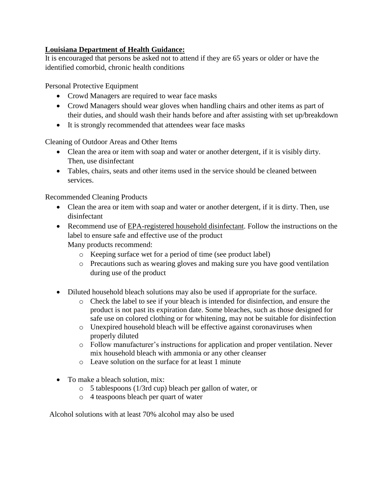### **Louisiana Department of Health Guidance:**

It is encouraged that persons be asked not to attend if they are 65 years or older or have the identified comorbid, chronic health conditions

Personal Protective Equipment

- Crowd Managers are required to wear face masks
- Crowd Managers should wear gloves when handling chairs and other items as part of their duties, and should wash their hands before and after assisting with set up/breakdown
- It is strongly recommended that attendees wear face masks

Cleaning of Outdoor Areas and Other Items

- Clean the area or item with soap and water or another detergent, if it is visibly dirty. Then, use disinfectant
- Tables, chairs, seats and other items used in the service should be cleaned between services.

Recommended Cleaning Products

- Clean the area or item with soap and water or another detergent, if it is dirty. Then, use disinfectant
- Recommend use of [EPA-registered household disinfectant.](https://www.epa.gov/pesticide-registration/list-n-disinfectants-use-against-sars-cov-2) Follow the instructions on the label to ensure safe and effective use of the product Many products recommend:
	- o Keeping surface wet for a period of time (see product label)
	- o Precautions such as wearing gloves and making sure you have good ventilation during use of the product
- Diluted household bleach solutions may also be used if appropriate for the surface.
	- o Check the label to see if your bleach is intended for disinfection, and ensure the product is not past its expiration date. Some bleaches, such as those designed for safe use on colored clothing or for whitening, may not be suitable for disinfection
	- o Unexpired household bleach will be effective against coronaviruses when properly diluted
	- o Follow manufacturer's instructions for application and proper ventilation. Never mix household bleach with ammonia or any other cleanser
	- o Leave solution on the surface for at least 1 minute
- To make a bleach solution, mix:
	- o 5 tablespoons (1/3rd cup) bleach per gallon of water, or
	- o 4 teaspoons bleach per quart of water

Alcohol solutions with at least 70% alcohol may also be used